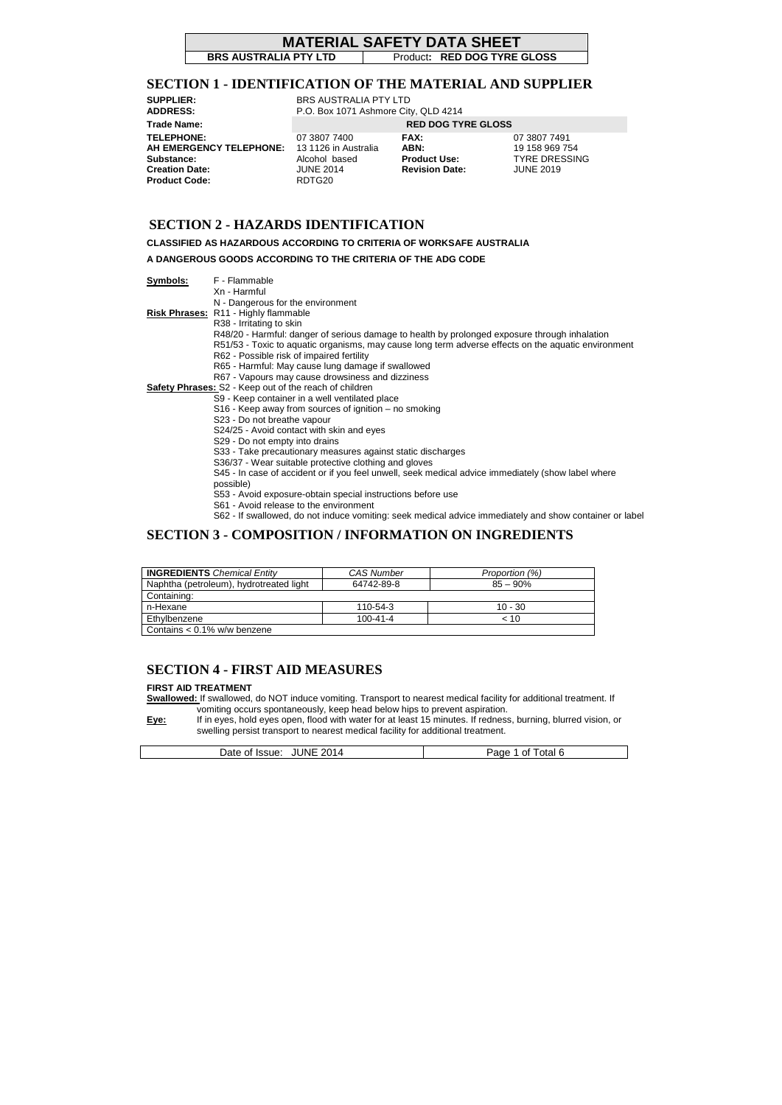#### **MATERIAL SAFETY DATA SHEET**

**BRS AUSTRALIA PTY LTD** Product: RED DOG TYRE GLOSS

## **SECTION 1 - IDENTIFICATION OF THE MATERIAL AND SUPPLIER**

#### **SECTION 2 - HAZARDS IDENTIFICATION**

**CLASSIFIED AS HAZARDOUS ACCORDING TO CRITERIA OF WORKSAFE AUSTRALIA** 

**A DANGEROUS GOODS ACCORDING TO THE CRITERIA OF THE ADG CODE** 

**Symbols:** F - Flammable

- Xn Harmful
	- N Dangerous for the environment
- **Risk Phrases:** R11 Highly flammable
	- R38 Irritating to skin
		- R48/20 Harmful: danger of serious damage to health by prolonged exposure through inhalation
		- R51/53 Toxic to aquatic organisms, may cause long term adverse effects on the aquatic environment
		- R62 Possible risk of impaired fertility
		- R65 Harmful: May cause lung damage if swallowed
		- R67 Vapours may cause drowsiness and dizziness
- **Safety Phrases:** S2 Keep out of the reach of children
	- S9 Keep container in a well ventilated place
	- S16 Keep away from sources of ignition no smoking
	- S23 Do not breathe vapour
	- S24/25 Avoid contact with skin and eyes
	- S29 Do not empty into drains
	- S33 Take precautionary measures against static discharges
	- S36/37 Wear suitable protective clothing and gloves
	- S45 In case of accident or if you feel unwell, seek medical advice immediately (show label where
	- possible)
	- S53 Avoid exposure-obtain special instructions before use
	- S61 Avoid release to the environment
	- S62 If swallowed, do not induce vomiting: seek medical advice immediately and show container or label

**SUPPLIER:** BRS AUSTRALIA PTY LTD **ADDRESS:** P.O. Box 1071 Ashmore City, QLD 4214 **Trade Name: RED DOG TYRE GLOSS TELEPHONE:** 07 3807 7400 **FAX:** 07 3807 7491 **AH EMERGENCY TELEPHONE:** 13 1126 in Australia **ABN:** 19 158 969 754 **Substance: Alcohol based <b>Product Use:** TYRE DRESSING **Creation Date:** JUNE 2014 **Revision Date:** JUNE 2019 **Product Code:** RDTG20

#### **SECTION 3 - COMPOSITION / INFORMATION ON INGREDIENTS**

#### **SECTION 4 - FIRST AID MEASURES**

#### **FIRST AID TREATMENT**

**Swallowed:** If swallowed, do NOT induce vomiting. Transport to nearest medical facility for additional treatment. If vomiting occurs spontaneously, keep head below hips to prevent aspiration.

**Eye:** If in eyes, hold eyes open, flood with water for at least 15 minutes. If redness, burning, blurred vision, or swelling persist transport to nearest medical facility for additional treatment.

| JNE<br>2014<br>Jate<br><b>ISSUE:</b><br>0t.<br>$\cdot$<br>______ | otal<br>Page<br>Οt |
|------------------------------------------------------------------|--------------------|

| <b>INGREDIENTS</b> Chemical Entity      | <b>CAS Number</b> | Proportion (%) |
|-----------------------------------------|-------------------|----------------|
| Naphtha (petroleum), hydrotreated light | 64742-89-8        | $85 - 90%$     |
| Containing:                             |                   |                |
| n-Hexane                                | 110-54-3          | $10 - 30$      |
| Ethylbenzene                            | $100 - 41 - 4$    | $~<$ 10        |
| Contains $< 0.1\%$ w/w benzene          |                   |                |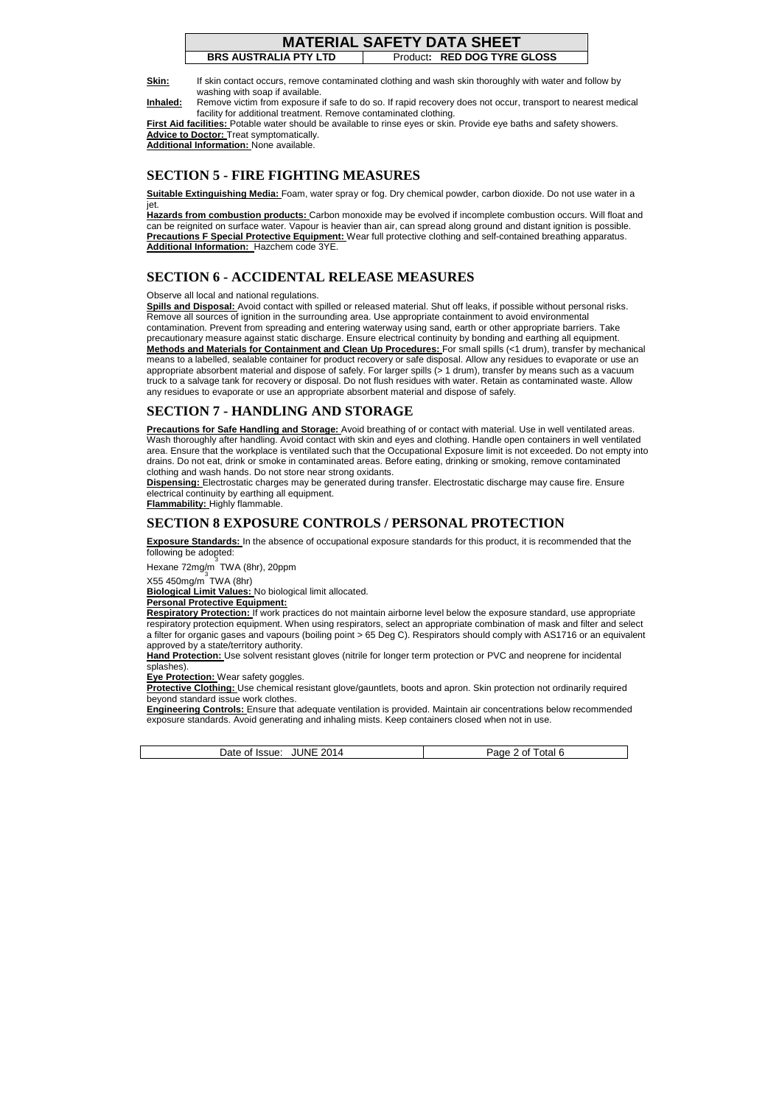#### **MATERIAL SAFETY DATA SHEET**

**BRS AUSTRALIA PTY LTD** Product**: RED DOG TYRE GLOSS** 

**Skin:** If skin contact occurs, remove contaminated clothing and wash skin thoroughly with water and follow by washing with soap if available.

**Inhaled:** Remove victim from exposure if safe to do so. If rapid recovery does not occur, transport to nearest medical facility for additional treatment. Remove contaminated clothing.

**First Aid facilities:** Potable water should be available to rinse eyes or skin. Provide eye baths and safety showers. **Advice to Doctor:** Treat symptomatically.

**Additional Information:** None available.

## **SECTION 5 - FIRE FIGHTING MEASURES**

**Suitable Extinguishing Media:** Foam, water spray or fog. Dry chemical powder, carbon dioxide. Do not use water in a jet.

**Hazards from combustion products:** Carbon monoxide may be evolved if incomplete combustion occurs. Will float and can be reignited on surface water. Vapour is heavier than air, can spread along ground and distant ignition is possible. **Precautions F Special Protective Equipment:** Wear full protective clothing and self-contained breathing apparatus. **Additional Information:** Hazchem code 3YE.

#### **SECTION 6 - ACCIDENTAL RELEASE MEASURES**

Observe all local and national regulations.

**Spills and Disposal:** Avoid contact with spilled or released material. Shut off leaks, if possible without personal risks. Remove all sources of ignition in the surrounding area. Use appropriate containment to avoid environmental contamination. Prevent from spreading and entering waterway using sand, earth or other appropriate barriers. Take precautionary measure against static discharge. Ensure electrical continuity by bonding and earthing all equipment. **Methods and Materials for Containment and Clean Up Procedures:** For small spills (<1 drum), transfer by mechanical means to a labelled, sealable container for product recovery or safe disposal. Allow any residues to evaporate or use an appropriate absorbent material and dispose of safely. For larger spills (> 1 drum), transfer by means such as a vacuum truck to a salvage tank for recovery or disposal. Do not flush residues with water. Retain as contaminated waste. Allow any residues to evaporate or use an appropriate absorbent material and dispose of safely.

#### **SECTION 7 - HANDLING AND STORAGE**

**Precautions for Safe Handling and Storage:** Avoid breathing of or contact with material. Use in well ventilated areas. Wash thoroughly after handling. Avoid contact with skin and eyes and clothing. Handle open containers in well ventilated area. Ensure that the workplace is ventilated such that the Occupational Exposure limit is not exceeded. Do not empty into drains. Do not eat, drink or smoke in contaminated areas. Before eating, drinking or smoking, remove contaminated clothing and wash hands. Do not store near strong oxidants.

**Dispensing:** Electrostatic charges may be generated during transfer. Electrostatic discharge may cause fire. Ensure electrical continuity by earthing all equipment.

**Flammability:** Highly flammable.

## **SECTION 8 EXPOSURE CONTROLS / PERSONAL PROTECTION**

**Exposure Standards:** In the absence of occupational exposure standards for this product, it is recommended that the following be adopted:

Hexane 72mg/m TWA (8hr), 20ppm 3

X55 450mg/m 3 TWA (8hr)

**Biological Limit Values:** No biological limit allocated.

**Personal Protective Equipment:** 

**Respiratory Protection:** If work practices do not maintain airborne level below the exposure standard, use appropriate respiratory protection equipment. When using respirators, select an appropriate combination of mask and filter and select a filter for organic gases and vapours (boiling point > 65 Deg C). Respirators should comply with AS1716 or an equivalent approved by a state/territory authority.

**Hand Protection:** Use solvent resistant gloves (nitrile for longer term protection or PVC and neoprene for incidental splashes).

**Eye Protection:** Wear safety goggles.

**Protective Clothing:** Use chemical resistant glove/gauntlets, boots and apron. Skin protection not ordinarily required beyond standard issue work clothes.

**Engineering Controls:** Ensure that adequate ventilation is provided. Maintain air concentrations below recommended exposure standards. Avoid generating and inhaling mists. Keep containers closed when not in use.

| 2014<br>.JUNE<br>otal<br>ΩT<br>۱۱۴.<br>$\sim$<br>. YL<br>$\sim$ $\sim$ $\sim$ $\sim$ $\sim$ $\sim$ |
|----------------------------------------------------------------------------------------------------|
|----------------------------------------------------------------------------------------------------|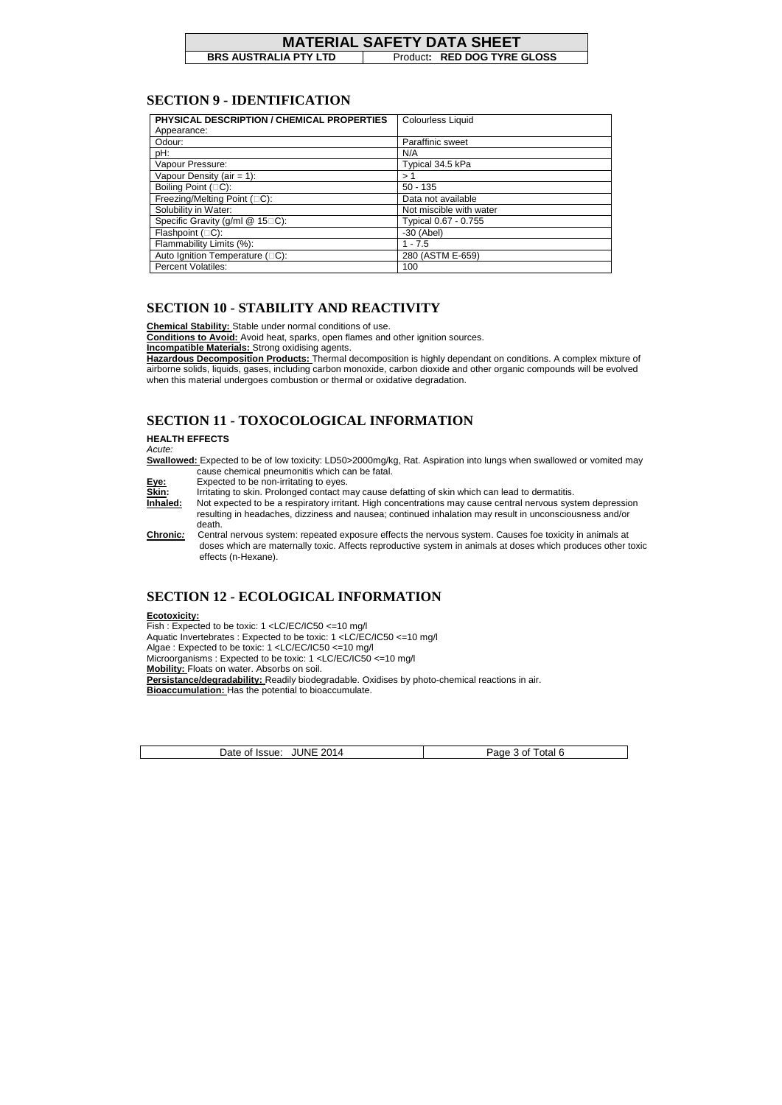**BRS AUSTRALIA PTY LTD** Product: RED DOG TYRE GLOSS

#### **SECTION 9 - IDENTIFICATION**

| PHYSICAL DESCRIPTION / CHEMICAL PROPERTIES | <b>Colourless Liquid</b> |
|--------------------------------------------|--------------------------|
| Appearance:                                |                          |
| Odour:                                     | Paraffinic sweet         |
| pH:                                        | N/A                      |
| Vapour Pressure:                           | Typical 34.5 kPa         |
| Vapour Density (air = 1):                  | > 1                      |
| Boiling Point (C):                         | $50 - 135$               |
| Freezing/Melting Point (C):                | Data not available       |
| Solubility in Water:                       | Not miscible with water  |
| Specific Gravity (g/ml @ 15 C):            | Typical 0.67 - 0.755     |
| Flashpoint (C):                            | $-30$ (Abel)             |
| Flammability Limits (%):                   | $1 - 7.5$                |
| Auto Ignition Temperature (C):             | 280 (ASTM E-659)         |
| <b>Percent Volatiles:</b>                  | 100                      |

## **SECTION 10 - STABILITY AND REACTIVITY**

**Chemical Stability:** Stable under normal conditions of use.

**Conditions to Avoid:** Avoid heat, sparks, open flames and other ignition sources.

**Incompatible Materials:** Strong oxidising agents.

**Hazardous Decomposition Products:** Thermal decomposition is highly dependant on conditions. A complex mixture of airborne solids, liquids, gases, including carbon monoxide, carbon dioxide and other organic compounds will be evolved when this material undergoes combustion or thermal or oxidative degradation.

## **SECTION 11 - TOXOCOLOGICAL INFORMATION**

**HEALTH EFFECTS** 

Acute:

**Swallowed:** Expected to be of low toxicity: LD50>2000mg/kg, Rat. Aspiration into lungs when swallowed or vomited may cause chemical pneumonitis which can be fatal.

**Eye:** Expected to be non-irritating to eyes.

**Skin:** Irritating to skin. Prolonged contact may cause defatting of skin which can lead to dermatitis.

**Inhaled:** Not expected to be a respiratory irritant. High concentrations may cause central nervous system depression resulting in headaches, dizziness and nausea; continued inhalation may result in unconsciousness and/or death.

**Chronic:** Central nervous system: repeated exposure effects the nervous system. Causes foe toxicity in animals at doses which are maternally toxic. Affects reproductive system in animals at doses which produces other toxic effects (n-Hexane).

## **SECTION 12 - ECOLOGICAL INFORMATION**

#### **Ecotoxicity:**

Fish : Expected to be toxic: 1 <LC/EC/IC50 <=10 mg/l Aquatic Invertebrates : Expected to be toxic: 1 <LC/EC/IC50 <=10 mg/l Algae : Expected to be toxic: 1 <LC/EC/IC50 <=10 mg/l Microorganisms : Expected to be toxic: 1 <LC/EC/IC50 <=10 mg/l **Mobility:** Floats on water. Absorbs on soil. Persistance/degradability: Readily biodegradable. Oxidises by photo-chemical reactions in air. **Bioaccumulation:** Has the potential to bioaccumulate.

| . JUNE 2014<br>Date of Issue: | Page 3 of Total 6 |
|-------------------------------|-------------------|
|-------------------------------|-------------------|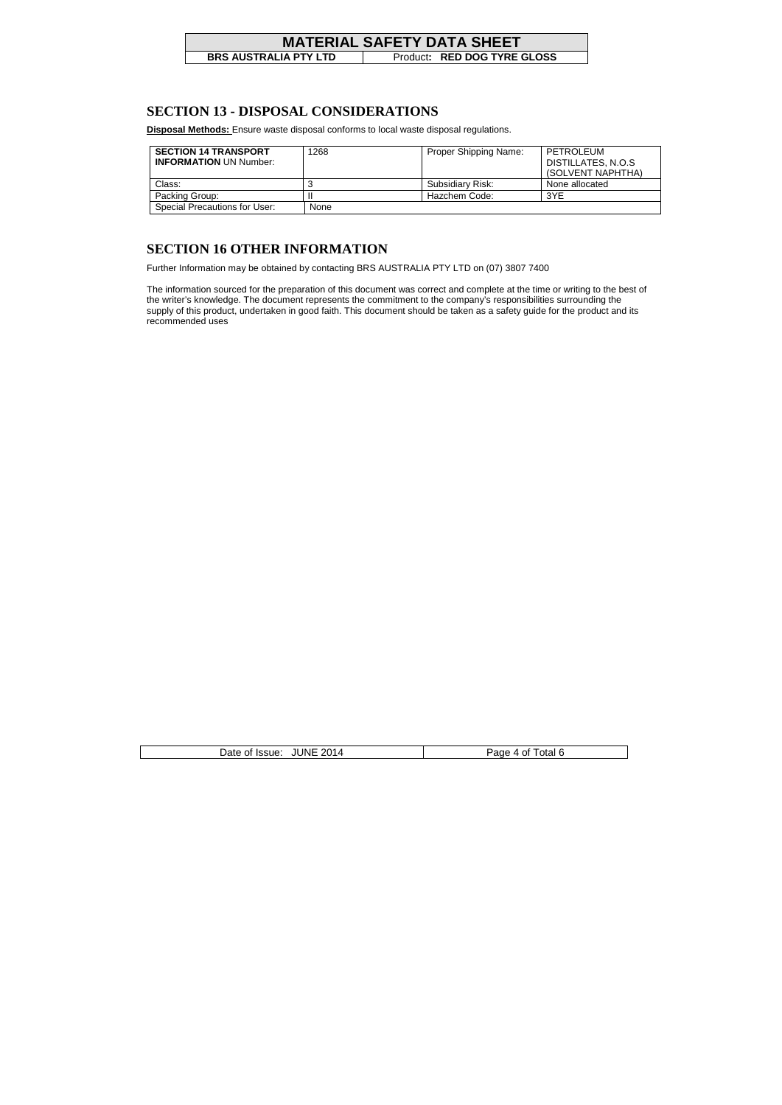# **MATERIAL SAFETY DATA SHEET**<br>BRS AUSTRALIA PTY LTD Product: RED DOG TYRE

**Broduct: RED DOG TYRE GLOSS** 

| <b>JUNE 2014</b><br>Total 6<br>Date of Issue:<br>Page 4 of i |
|--------------------------------------------------------------|
|--------------------------------------------------------------|

#### **SECTION 13 - DISPOSAL CONSIDERATIONS**

**Disposal Methods:** Ensure waste disposal conforms to local waste disposal regulations.

| <b>SECTION 14 TRANSPORT</b><br><b>INFORMATION UN Number:</b> | 1268 | <b>Proper Shipping Name:</b> | PETROLEUM<br>DISTILLATES, N.O.S<br>(SOLVENT NAPHTHA) |
|--------------------------------------------------------------|------|------------------------------|------------------------------------------------------|
| Class:                                                       |      | Subsidiary Risk:             | None allocated                                       |
| Packing Group:                                               |      | Hazchem Code:                | 3YE                                                  |
| <b>Special Precautions for User:</b>                         | None |                              |                                                      |

#### **SECTION 16 OTHER INFORMATION**

Further Information may be obtained by contacting BRS AUSTRALIA PTY LTD on (07) 3807 7400

The information sourced for the preparation of this document was correct and complete at the time or writing to the best of the writer's knowledge. The document represents the commitment to the company's responsibilities surrounding the supply of this product, undertaken in good faith. This document should be taken as a safety guide for the product and its recommended uses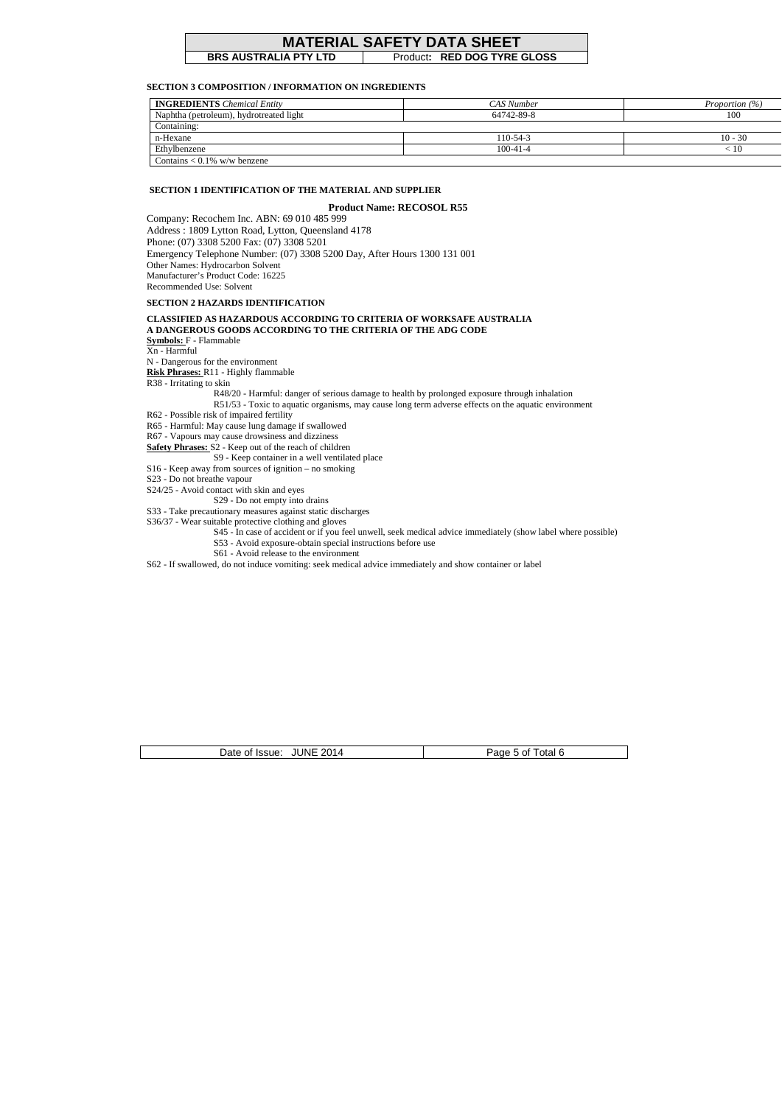## **MATERIAL SAFETY DATA SHEET**<br>BRS AUSTRALIA PTY LTD Product: RED DOG TYRE

**Broduct: RED DOG TYRE GLOSS** 

| Date of Issue: JUNE 2014 | Page 5 of Total 6 |
|--------------------------|-------------------|
|--------------------------|-------------------|

#### **SECTION 3 COMPOSITION / INFORMATION ON INGREDIENTS**

| <b>INGREDIENTS</b> Chemical Entity      | CAS Number     | Proportion $(\% )$ |
|-----------------------------------------|----------------|--------------------|
| Naphtha (petroleum), hydrotreated light | 64742-89-8     | 100                |
| Containing:                             |                |                    |
| n-Hexane                                | 110-54-3       | $10 - 30$          |
| Ethylbenzene                            | $100 - 41 - 4$ | < 10               |
| Contains $< 0.1\%$ w/w benzene          |                |                    |

#### **SECTION 1 IDENTIFICATION OF THE MATERIAL AND SUPPLIER**

**Product Name: RECOSOL R55**  Company: Recochem Inc. ABN: 69 010 485 999 Address : 1809 Lytton Road, Lytton, Queensland 4178 Phone: (07) 3308 5200 Fax: (07) 3308 5201 Emergency Telephone Number: (07) 3308 5200 Day, After Hours 1300 131 001 Other Names: Hydrocarbon Solvent Manufacturer's Product Code: 16225 Recommended Use: Solvent

#### **SECTION 2 HAZARDS IDENTIFICATION**

#### **CLASSIFIED AS HAZARDOUS ACCORDING TO CRITERIA OF WORKSAFE AUSTRALIA A DANGEROUS GOODS ACCORDING TO THE CRITERIA OF THE ADG CODE**

**Symbols:** F - Flammable

Xn - Harmful

N - Dangerous for the environment

**Risk Phrases:** R11 - Highly flammable

R38 - Irritating to skin

R48/20 - Harmful: danger of serious damage to health by prolonged exposure through inhalation

R51/53 - Toxic to aquatic organisms, may cause long term adverse effects on the aquatic environment

R62 - Possible risk of impaired fertility

R65 - Harmful: May cause lung damage if swallowed

R67 - Vapours may cause drowsiness and dizziness

**Safety Phrases:** S2 - Keep out of the reach of children

S9 - Keep container in a well ventilated place

S16 - Keep away from sources of ignition – no smoking

S23 - Do not breathe vapour

S24/25 - Avoid contact with skin and eyes

S29 - Do not empty into drains

S33 - Take precautionary measures against static discharges

S36/37 - Wear suitable protective clothing and gloves

S45 - In case of accident or if you feel unwell, seek medical advice immediately (show label where possible)

S53 - Avoid exposure-obtain special instructions before use

S61 - Avoid release to the environment

S62 - If swallowed, do not induce vomiting: seek medical advice immediately and show container or label